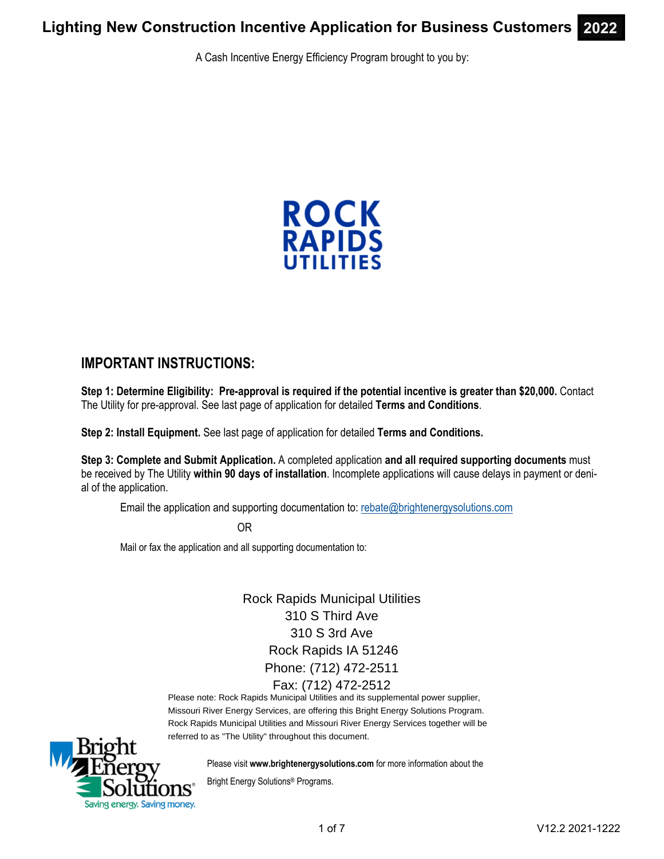A Cash Incentive Energy Efficiency Program brought to you by:



## **IMPORTANT INSTRUCTIONS:**

**Step 1: Determine Eligibility: Pre-approval is required if the potential incentive is greater than \$20,000.** Contact The Utility for pre-approval. See last page of application for detailed **Terms and Conditions**.

**Step 2: Install Equipment.** See last page of application for detailed **Terms and Conditions.** 

**Step 3: Complete and Submit Application.** A completed application **and all required supporting documents** must be received by The Utility **within 90 days of installation**. Incomplete applications will cause delays in payment or denial of the application.

Email the application and supporting documentation to: rebate@brightenergysolutions.com

OR

Mail or fax the application and all supporting documentation to:

Rock Rapids Municipal Utilities 310 S Third Ave 310 S 3rd Ave Rock Rapids IA 51246 Phone: (712) 472-2511 Fax: (712) 472-2512

Please note: Rock Rapids Municipal Utilities and its supplemental power supplier, Missouri River Energy Services, are offering this Bright Energy Solutions Program. Rock Rapids Municipal Utilities and Missouri River Energy Services together will be referred to as "The Utility" throughout this document.



Please visit **www.brightenergysolutions.com** for more information about the

Bright Energy Solutions® Programs.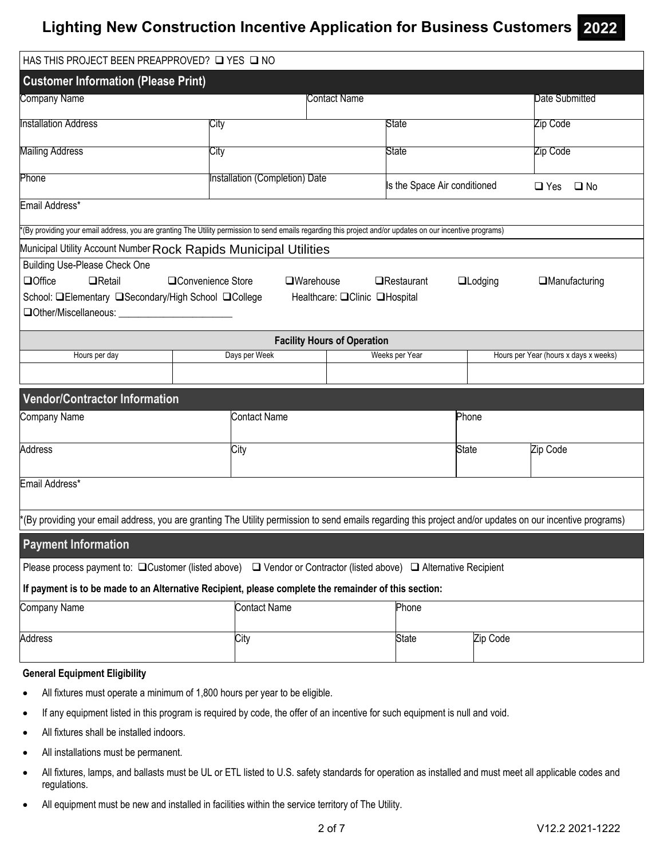| HAS THIS PROJECT BEEN PREAPPROVED? Q YES Q NO                                                                                                                                        |                                |                                                      |  |                              |  |                |                                       |  |
|--------------------------------------------------------------------------------------------------------------------------------------------------------------------------------------|--------------------------------|------------------------------------------------------|--|------------------------------|--|----------------|---------------------------------------|--|
| <b>Customer Information (Please Print)</b>                                                                                                                                           |                                |                                                      |  |                              |  |                |                                       |  |
| Company Name                                                                                                                                                                         |                                | Contact Name                                         |  |                              |  |                | Date Submitted                        |  |
| <b>Installation Address</b>                                                                                                                                                          | City                           |                                                      |  | State                        |  |                | Zip Code                              |  |
| <b>Mailing Address</b>                                                                                                                                                               | City                           |                                                      |  | State                        |  |                | Zip Code                              |  |
|                                                                                                                                                                                      |                                |                                                      |  |                              |  |                |                                       |  |
| Phone                                                                                                                                                                                | Installation (Completion) Date |                                                      |  | Is the Space Air conditioned |  |                | $\Box$ Yes<br>$\square$ No            |  |
| Email Address*                                                                                                                                                                       |                                |                                                      |  |                              |  |                |                                       |  |
| *(By providing your email address, you are granting The Utility permission to send emails regarding this project and/or updates on our incentive programs)                           |                                |                                                      |  |                              |  |                |                                       |  |
| Municipal Utility Account Number Rock Rapids Municipal Utilities                                                                                                                     |                                |                                                      |  |                              |  |                |                                       |  |
| Building Use-Please Check One<br><b>QOffice</b><br>$\Box$ Retail<br>School: <b>QElementary QSecondary/High School QCollege</b>                                                       | □Convenience Store             | $\square$ Warehouse<br>Healthcare: □Clinic □Hospital |  | $\Box$ Restaurant            |  | $\Box$ Lodging | $\Box$ Manufacturing                  |  |
|                                                                                                                                                                                      |                                | <b>Facility Hours of Operation</b>                   |  |                              |  |                |                                       |  |
| Hours per day                                                                                                                                                                        | Days per Week                  |                                                      |  | Weeks per Year               |  |                | Hours per Year (hours x days x weeks) |  |
|                                                                                                                                                                                      |                                |                                                      |  |                              |  |                |                                       |  |
| <b>Vendor/Contractor Information</b>                                                                                                                                                 |                                |                                                      |  |                              |  |                |                                       |  |
| Company Name                                                                                                                                                                         | <b>Contact Name</b>            | Phone                                                |  |                              |  |                |                                       |  |
| <b>Address</b>                                                                                                                                                                       | City                           | <b>State</b>                                         |  |                              |  | Zip Code       |                                       |  |
|                                                                                                                                                                                      |                                |                                                      |  |                              |  |                |                                       |  |
| Email Address*                                                                                                                                                                       |                                |                                                      |  |                              |  |                |                                       |  |
|                                                                                                                                                                                      |                                |                                                      |  |                              |  |                |                                       |  |
| *(By providing your email address, you are granting The Utility permission to send emails regarding this project and/or updates on our incentive programs)                           |                                |                                                      |  |                              |  |                |                                       |  |
| <b>Payment Information</b>                                                                                                                                                           |                                |                                                      |  |                              |  |                |                                       |  |
| Please process payment to: $\Box$ Customer (listed above) $\Box$ Vendor or Contractor (listed above) $\Box$ Alternative Recipient                                                    |                                |                                                      |  |                              |  |                |                                       |  |
| If payment is to be made to an Alternative Recipient, please complete the remainder of this section:                                                                                 |                                |                                                      |  |                              |  |                |                                       |  |
| Company Name                                                                                                                                                                         |                                | <b>Contact Name</b><br>Phone                         |  |                              |  |                |                                       |  |
| Address                                                                                                                                                                              | City                           |                                                      |  | <b>State</b>                 |  | Zip Code       |                                       |  |
| <b>General Equipment Eligibility</b>                                                                                                                                                 |                                |                                                      |  |                              |  |                |                                       |  |
| All fixtures must operate a minimum of 1,800 hours per year to be eligible.<br>$\bullet$                                                                                             |                                |                                                      |  |                              |  |                |                                       |  |
| $\bullet$                                                                                                                                                                            |                                |                                                      |  |                              |  |                |                                       |  |
| If any equipment listed in this program is required by code, the offer of an incentive for such equipment is null and void.<br>All fixtures shall be installed indoors.<br>$\bullet$ |                                |                                                      |  |                              |  |                |                                       |  |
| All installations must be permanent.<br>$\bullet$                                                                                                                                    |                                |                                                      |  |                              |  |                |                                       |  |
| All fixtures, lamps, and ballasts must be UL or ETL listed to U.S. safety standards for operation as installed and must meet all applicable codes and<br>$\bullet$<br>regulations.   |                                |                                                      |  |                              |  |                |                                       |  |

All equipment must be new and installed in facilities within the service territory of The Utility.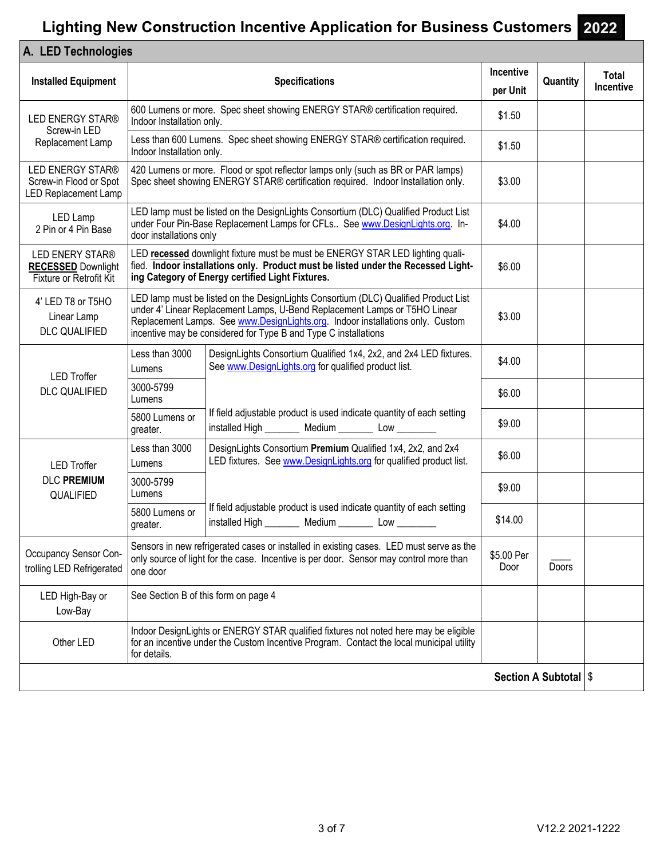| A. LED Technologies                                                                                                                 |                                      |                                                                                                                                                                                                                                                                                                                        |                       |                         |                    |
|-------------------------------------------------------------------------------------------------------------------------------------|--------------------------------------|------------------------------------------------------------------------------------------------------------------------------------------------------------------------------------------------------------------------------------------------------------------------------------------------------------------------|-----------------------|-------------------------|--------------------|
| <b>Installed Equipment</b>                                                                                                          |                                      | <b>Specifications</b>                                                                                                                                                                                                                                                                                                  | Incentive<br>per Unit | Quantity                | Total<br>Incentive |
| 600 Lumens or more. Spec sheet showing ENERGY STAR® certification required.<br><b>LED ENERGY STAR®</b><br>Indoor Installation only. |                                      |                                                                                                                                                                                                                                                                                                                        |                       |                         |                    |
| Screw-in LED<br>Replacement Lamp                                                                                                    | Indoor Installation only.            | Less than 600 Lumens. Spec sheet showing ENERGY STAR® certification required.                                                                                                                                                                                                                                          | \$1.50                |                         |                    |
| <b>LED ENERGY STAR®</b><br>Screw-in Flood or Spot<br>LED Replacement Lamp                                                           |                                      | 420 Lumens or more. Flood or spot reflector lamps only (such as BR or PAR lamps)<br>Spec sheet showing ENERGY STAR® certification required. Indoor Installation only.                                                                                                                                                  | \$3.00                |                         |                    |
| LED Lamp<br>2 Pin or 4 Pin Base                                                                                                     | door installations only              | LED lamp must be listed on the DesignLights Consortium (DLC) Qualified Product List<br>under Four Pin-Base Replacement Lamps for CFLs See www.DesignLights.org. In-                                                                                                                                                    | \$4.00                |                         |                    |
| LED ENERY STAR®<br><b>RECESSED Downlight</b><br>Fixture or Retrofit Kit                                                             |                                      | LED recessed downlight fixture must be must be ENERGY STAR LED lighting quali-<br>fied. Indoor installations only. Product must be listed under the Recessed Light-<br>ing Category of Energy certified Light Fixtures.                                                                                                | \$6.00                |                         |                    |
| 4' LED T8 or T5HO<br>Linear Lamp<br><b>DLC QUALIFIED</b>                                                                            |                                      | LED lamp must be listed on the DesignLights Consortium (DLC) Qualified Product List<br>under 4' Linear Replacement Lamps, U-Bend Replacement Lamps or T5HO Linear<br>Replacement Lamps. See www.DesignLights.org. Indoor installations only. Custom<br>incentive may be considered for Type B and Type C installations | \$3.00                |                         |                    |
| <b>LED Troffer</b><br><b>DLC QUALIFIED</b>                                                                                          | Less than 3000<br>Lumens             | DesignLights Consortium Qualified 1x4, 2x2, and 2x4 LED fixtures.<br>See www.DesignLights.org for qualified product list.                                                                                                                                                                                              | \$4.00                |                         |                    |
|                                                                                                                                     | 3000-5799<br>Lumens                  |                                                                                                                                                                                                                                                                                                                        | \$6.00                |                         |                    |
|                                                                                                                                     | 5800 Lumens or<br>greater.           | If field adjustable product is used indicate quantity of each setting<br>installed High _________ Medium _________ Low _________                                                                                                                                                                                       | \$9.00                |                         |                    |
| <b>LED Troffer</b>                                                                                                                  | Less than 3000<br>Lumens             | DesignLights Consortium Premium Qualified 1x4, 2x2, and 2x4<br>LED fixtures. See www.DesignLights.org for qualified product list.                                                                                                                                                                                      | \$6.00                |                         |                    |
| <b>DLC PREMIUM</b><br>QUALIFIED                                                                                                     | 3000-5799<br>Lumens                  |                                                                                                                                                                                                                                                                                                                        | \$9.00                |                         |                    |
|                                                                                                                                     | 5800 Lumens or<br>greater.           | If field adjustable product is used indicate quantity of each setting<br>installed High __________ Medium __________ Low __________                                                                                                                                                                                    | \$14.00               |                         |                    |
| Occupancy Sensor Con-<br>trolling LED Refrigerated                                                                                  | one door                             | Sensors in new refrigerated cases or installed in existing cases. LED must serve as the<br>only source of light for the case. Incentive is per door. Sensor may control more than                                                                                                                                      | \$5.00 Per<br>Door    | Doors                   |                    |
| LED High-Bay or<br>Low-Bay                                                                                                          | See Section B of this form on page 4 |                                                                                                                                                                                                                                                                                                                        |                       |                         |                    |
| Other LED                                                                                                                           | for details.                         | Indoor DesignLights or ENERGY STAR qualified fixtures not noted here may be eligible<br>for an incentive under the Custom Incentive Program. Contact the local municipal utility                                                                                                                                       |                       |                         |                    |
|                                                                                                                                     |                                      |                                                                                                                                                                                                                                                                                                                        |                       | Section A Subtotal   \$ |                    |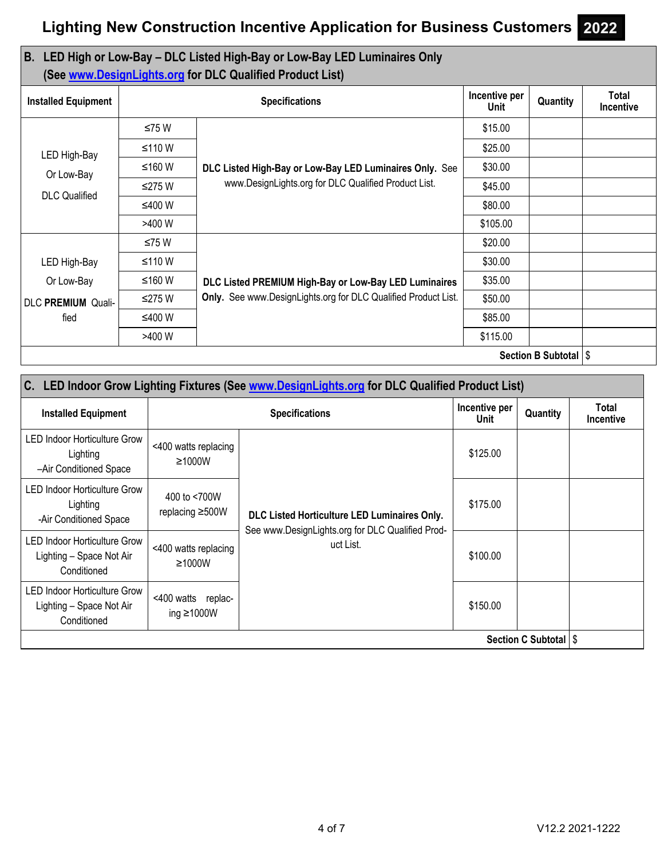## **B. LED High or Low-Bay – DLC Listed High-Bay or Low-Bay LED Luminaires Only (See www.DesignLights.org for DLC Qualified Product List)**

| <b>Installed Equipment</b> |        | <b>Specifications</b>                                          | Incentive per<br><b>Unit</b> | Quantity                | Total<br>Incentive |
|----------------------------|--------|----------------------------------------------------------------|------------------------------|-------------------------|--------------------|
|                            | ≤75 W  |                                                                | \$15.00                      |                         |                    |
| LED High-Bay               | ≤110 W |                                                                | \$25.00                      |                         |                    |
| Or Low-Bay                 | ≤160 W | DLC Listed High-Bay or Low-Bay LED Luminaires Only. See        | \$30.00                      |                         |                    |
| <b>DLC</b> Qualified       | ≤275 W | www.DesignLights.org for DLC Qualified Product List.           | \$45.00                      |                         |                    |
|                            | ≤400 W |                                                                | \$80.00                      |                         |                    |
|                            | >400 W |                                                                | \$105.00                     |                         |                    |
|                            | ≤75 W  |                                                                | \$20.00                      |                         |                    |
| LED High-Bay               | ≤110 W |                                                                | \$30.00                      |                         |                    |
| Or Low-Bay                 | ≤160 W | DLC Listed PREMIUM High-Bay or Low-Bay LED Luminaires          | \$35.00                      |                         |                    |
| DLC PREMIUM Quali-         | ≤275 W | Only. See www.DesignLights.org for DLC Qualified Product List. | \$50.00                      |                         |                    |
| fied                       | ≤400 W |                                                                | \$85.00                      |                         |                    |
|                            | >400 W |                                                                | \$115.00                     |                         |                    |
|                            |        |                                                                |                              | Section B Subtotal   \$ |                    |

| C. LED Indoor Grow Lighting Fixtures (See www.DesignLights.org for DLC Qualified Product List) |                                        |                                                                                                  |          |                                  |  |  |  |
|------------------------------------------------------------------------------------------------|----------------------------------------|--------------------------------------------------------------------------------------------------|----------|----------------------------------|--|--|--|
| <b>Installed Equipment</b>                                                                     |                                        | Incentive per<br>Unit                                                                            | Quantity | <b>Total</b><br><b>Incentive</b> |  |  |  |
| <b>LED Indoor Horticulture Grow</b><br>Lighting<br>-Air Conditioned Space                      | <400 watts replacing<br>$\geq 1000W$   |                                                                                                  | \$125.00 |                                  |  |  |  |
| <b>LED Indoor Horticulture Grow</b><br>Lighting<br>-Air Conditioned Space                      | 400 to <700W<br>replacing $\geq$ 500W  | DLC Listed Horticulture LED Luminaires Only.<br>See www.DesignLights.org for DLC Qualified Prod- | \$175.00 |                                  |  |  |  |
| LED Indoor Horticulture Grow<br>Lighting - Space Not Air<br>Conditioned                        | <400 watts replacing<br>$\geq 1000W$   | uct List.                                                                                        | \$100.00 |                                  |  |  |  |
| LED Indoor Horticulture Grow<br>Lighting - Space Not Air<br>Conditioned                        | <400 watts replac-<br>ing $\geq 1000W$ |                                                                                                  | \$150.00 |                                  |  |  |  |
| Section C Subtotal   \$                                                                        |                                        |                                                                                                  |          |                                  |  |  |  |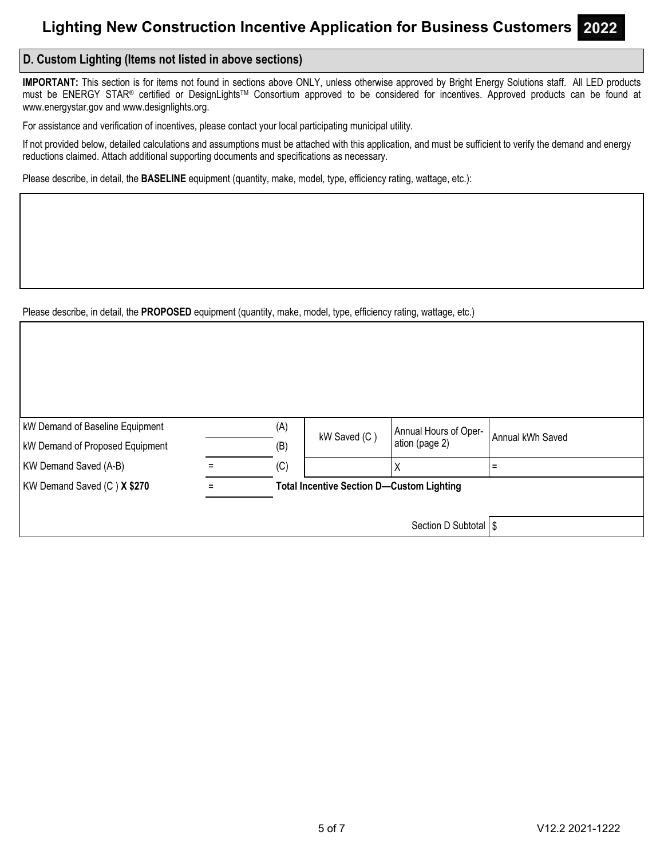## **D. Custom Lighting (Items not listed in above sections)**

**IMPORTANT:** This section is for items not found in sections above ONLY, unless otherwise approved by Bright Energy Solutions staff. All LED products must be ENERGY STAR® certified or DesignLights™ Consortium approved to be considered for incentives. Approved products can be found at www.energystar.gov and www.designlights.org.

For assistance and verification of incentives, please contact your local participating municipal utility.

If not provided below, detailed calculations and assumptions must be attached with this application, and must be sufficient to verify the demand and energy reductions claimed. Attach additional supporting documents and specifications as necessary.

Please describe, in detail, the **BASELINE** equipment (quantity, make, model, type, efficiency rating, wattage, etc.):

Please describe, in detail, the **PROPOSED** equipment (quantity, make, model, type, efficiency rating, wattage, etc.)

| <b>kW Demand of Baseline Equipment</b> | (A)                                              | kW Saved (C) | Annual Hours of Oper- | Annual kWh Saved |
|----------------------------------------|--------------------------------------------------|--------------|-----------------------|------------------|
| <b>kW Demand of Proposed Equipment</b> | (B)                                              |              | ation (page 2)        |                  |
| KW Demand Saved (A-B)                  | (C)                                              |              | Χ                     |                  |
| KW Demand Saved (C) X \$270            | <b>Total Incentive Section D-Custom Lighting</b> |              |                       |                  |
|                                        |                                                  |              |                       |                  |
|                                        |                                                  |              | Section D Subtotal S  |                  |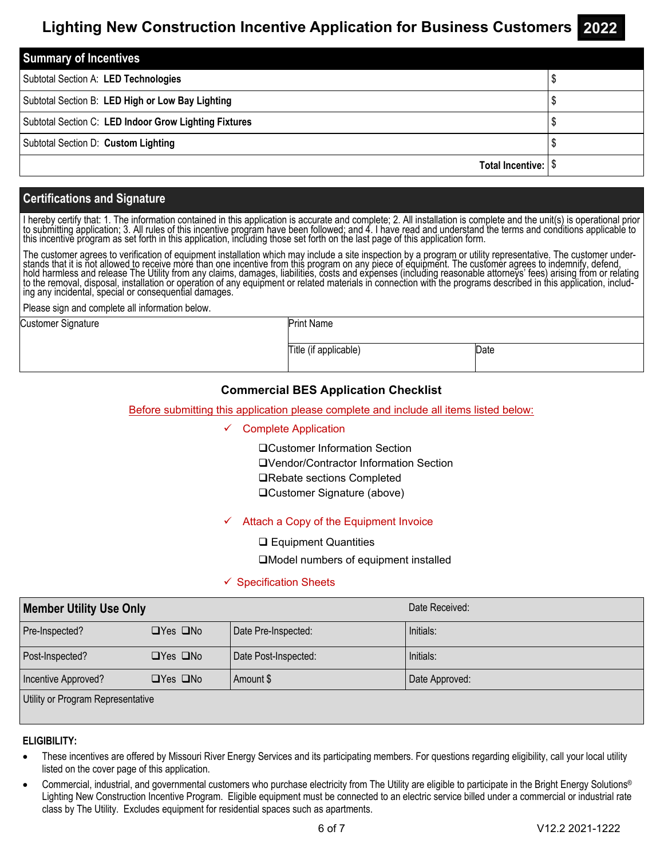| <b>Summary of Incentives</b>                          |  |  |  |
|-------------------------------------------------------|--|--|--|
| Subtotal Section A: LED Technologies                  |  |  |  |
| Subtotal Section B: LED High or Low Bay Lighting      |  |  |  |
| Subtotal Section C: LED Indoor Grow Lighting Fixtures |  |  |  |
| Subtotal Section D: Custom Lighting                   |  |  |  |
| Total Incentive:                                      |  |  |  |

## **Certifications and Signature**

I hereby certify that: 1. The information contained in this application is accurate and complete; 2. All installation is complete and the unit(s) is operational prior to submitting application; 3. All rules of this incenti

The customer agrees to verification of equipment installation which may include a site inspection by a program or utility representative. The customer understands that it is not allowed to receive more than one incentive from this program on any piece of equipment. The customer agrees to indemnify, defend,<br>hold harmless and release The Utility from any claims, damages, liabil

Please sign and complete all information below.

Customer Signature

Print Name

Title (if applicable) Date

## **Commercial BES Application Checklist**

### Before submitting this application please complete and include all items listed below:

### Complete Application

Customer Information Section Vendor/Contractor Information Section **□Rebate sections Completed** Customer Signature (above)

### $\checkmark$  Attach a Copy of the Equipment Invoice

**□ Equipment Quantities** 

Model numbers of equipment installed

### $\checkmark$  Specification Sheets

| <b>Member Utility Use Only</b>    |                      |                      | Date Received: |  |  |  |
|-----------------------------------|----------------------|----------------------|----------------|--|--|--|
| Pre-Inspected?                    | $\Box$ Yes $\Box$ No | Date Pre-Inspected:  | Initials:      |  |  |  |
| Post-Inspected?                   | $\Box$ Yes $\Box$ No | Date Post-Inspected: | Initials:      |  |  |  |
| Incentive Approved?               | $\Box$ Yes $\Box$ No | Amount \$            | Date Approved: |  |  |  |
| Utility or Program Representative |                      |                      |                |  |  |  |

### **ELIGIBILITY:**

- These incentives are offered by Missouri River Energy Services and its participating members. For questions regarding eligibility, call your local utility listed on the cover page of this application.
- Commercial, industrial, and governmental customers who purchase electricity from The Utility are eligible to participate in the Bright Energy Solutions® Lighting New Construction Incentive Program. Eligible equipment must be connected to an electric service billed under a commercial or industrial rate class by The Utility. Excludes equipment for residential spaces such as apartments.